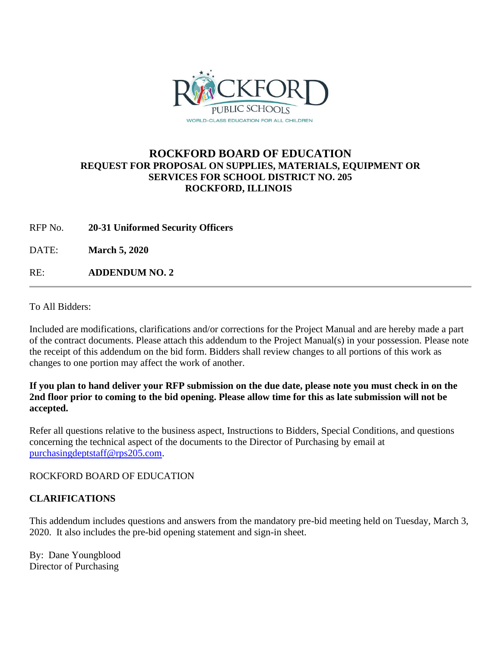

### **ROCKFORD BOARD OF EDUCATION REQUEST FOR PROPOSAL ON SUPPLIES, MATERIALS, EQUIPMENT OR SERVICES FOR SCHOOL DISTRICT NO. 205 ROCKFORD, ILLINOIS**

RFP No. **20-31 Uniformed Security Officers**

DATE: **March 5, 2020**

RE: **ADDENDUM NO. 2**

To All Bidders:

Included are modifications, clarifications and/or corrections for the Project Manual and are hereby made a part of the contract documents. Please attach this addendum to the Project Manual(s) in your possession. Please note the receipt of this addendum on the bid form. Bidders shall review changes to all portions of this work as changes to one portion may affect the work of another.

### **If you plan to hand deliver your RFP submission on the due date, please note you must check in on the 2nd floor prior to coming to the bid opening. Please allow time for this as late submission will not be accepted.**

Refer all questions relative to the business aspect, Instructions to Bidders, Special Conditions, and questions concerning the technical aspect of the documents to the Director of Purchasing by email at [purchasingdeptstaff@rps205.com.](mailto:purchasingdeptstaff@rps205.com)

ROCKFORD BOARD OF EDUCATION

### **CLARIFICATIONS**

This addendum includes questions and answers from the mandatory pre-bid meeting held on Tuesday, March 3, 2020. It also includes the pre-bid opening statement and sign-in sheet.

By: Dane Youngblood Director of Purchasing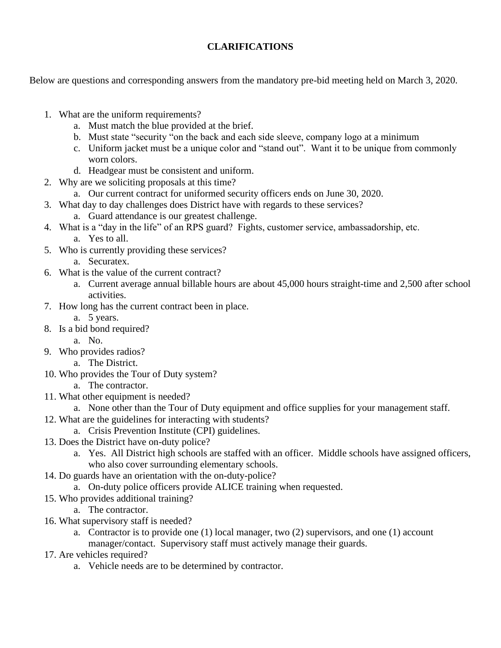### **CLARIFICATIONS**

Below are questions and corresponding answers from the mandatory pre-bid meeting held on March 3, 2020.

- 1. What are the uniform requirements?
	- a. Must match the blue provided at the brief.
	- b. Must state "security "on the back and each side sleeve, company logo at a minimum
	- c. Uniform jacket must be a unique color and "stand out". Want it to be unique from commonly worn colors.
	- d. Headgear must be consistent and uniform.
- 2. Why are we soliciting proposals at this time?
	- a. Our current contract for uniformed security officers ends on June 30, 2020.
- 3. What day to day challenges does District have with regards to these services?
	- a. Guard attendance is our greatest challenge.
- 4. What is a "day in the life" of an RPS guard? Fights, customer service, ambassadorship, etc. a. Yes to all.
- 5. Who is currently providing these services?
	- a. Securatex.
- 6. What is the value of the current contract?
	- a. Current average annual billable hours are about 45,000 hours straight-time and 2,500 after school activities.
- 7. How long has the current contract been in place.
	- a. 5 years.
- 8. Is a bid bond required?
	- a. No.
- 9. Who provides radios?
	- a. The District.
- 10. Who provides the Tour of Duty system?
	- a. The contractor.
- 11. What other equipment is needed?
	- a. None other than the Tour of Duty equipment and office supplies for your management staff.
- 12. What are the guidelines for interacting with students?
	- a. Crisis Prevention Institute (CPI) guidelines.
- 13. Does the District have on-duty police?
	- a. Yes. All District high schools are staffed with an officer. Middle schools have assigned officers, who also cover surrounding elementary schools.
- 14. Do guards have an orientation with the on-duty-police?
	- a. On-duty police officers provide ALICE training when requested.
- 15. Who provides additional training?

a. The contractor.

- 16. What supervisory staff is needed?
	- a. Contractor is to provide one (1) local manager, two (2) supervisors, and one (1) account manager/contact. Supervisory staff must actively manage their guards.
- 17. Are vehicles required?
	- a. Vehicle needs are to be determined by contractor.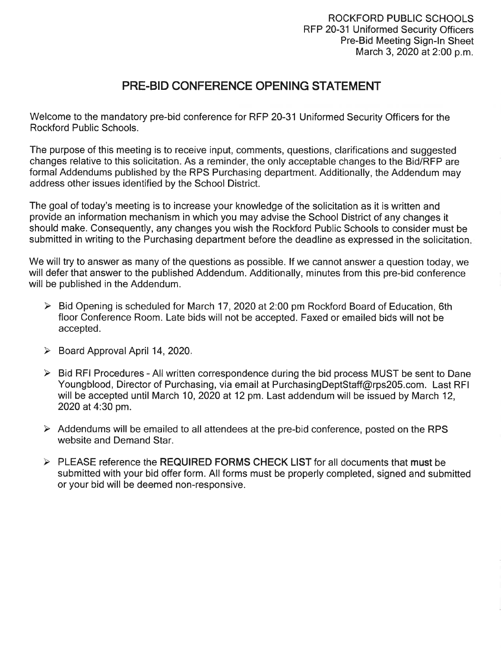## **PRE-BID CONFERENCE OPENING STATEMENT**

Welcome to the mandatory pre-bid conference for RFP 20-31 Uniformed Security Officers for the **Rockford Public Schools.** 

The purpose of this meeting is to receive input, comments, questions, clarifications and suggested changes relative to this solicitation. As a reminder, the only acceptable changes to the Bid/RFP are formal Addendums published by the RPS Purchasing department. Additionally, the Addendum may address other issues identified by the School District.

The goal of today's meeting is to increase your knowledge of the solicitation as it is written and provide an information mechanism in which you may advise the School District of any changes it should make. Consequently, any changes you wish the Rockford Public Schools to consider must be submitted in writing to the Purchasing department before the deadline as expressed in the solicitation.

We will try to answer as many of the questions as possible. If we cannot answer a question today, we will defer that answer to the published Addendum. Additionally, minutes from this pre-bid conference will be published in the Addendum.

- > Bid Opening is scheduled for March 17, 2020 at 2:00 pm Rockford Board of Education, 6th floor Conference Room. Late bids will not be accepted. Faxed or emailed bids will not be accepted.
- > Board Approval April 14, 2020.
- $\triangleright$  Bid RFI Procedures All written correspondence during the bid process MUST be sent to Dane Youngblood, Director of Purchasing, via email at PurchasingDeptStaff@rps205.com. Last RFI will be accepted until March 10, 2020 at 12 pm. Last addendum will be issued by March 12, 2020 at 4:30 pm.
- Addendums will be emailed to all attendees at the pre-bid conference, posted on the RPS website and Demand Star.
- > PLEASE reference the REQUIRED FORMS CHECK LIST for all documents that must be submitted with your bid offer form. All forms must be properly completed, signed and submitted or your bid will be deemed non-responsive.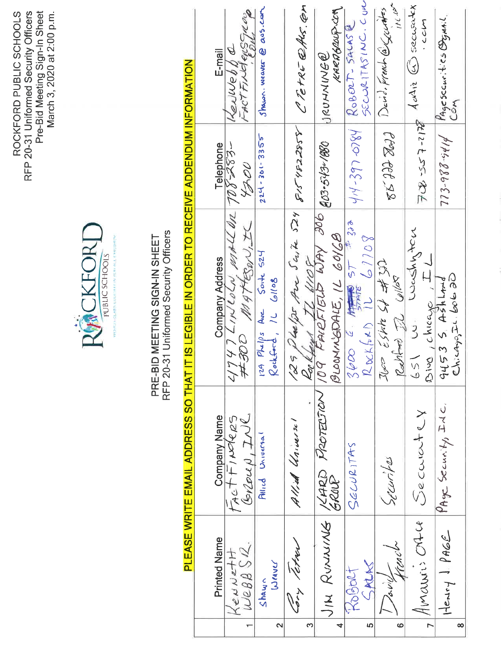ROCKFORD PUBLIC SCHOOLS<br>RFP 20-31 Uniformed Security Officers<br>Pre-Bid Meeting Sign-In Sheet<br>March 3, 2020 at 2:00 p.m.



## PRE-BID MEETING SIGN-IN SHEET<br>RFP 20-31 Uniformed Security Officers

# PLEASE WRITE EMAIL ADDRESS SO THAT IT IS LEGIBLE IN ORDER TO RECEIVE ADDENDUM INFORMATION

|                | Printed Name       | <b>Company Name</b>                                                                                                                                        | <b>Company Address</b>                                  | Telephone          | E-mail                                                         |
|----------------|--------------------|------------------------------------------------------------------------------------------------------------------------------------------------------------|---------------------------------------------------------|--------------------|----------------------------------------------------------------|
| $\blacksquare$ | WEBBSR.<br>KeNNetH | $0$ $\frac{1}{2}$<br>tact FINOLES                                                                                                                          | $274747$ LINUaln, makel 412 708-283-<br>#300 MATTEONIX  | 1700               | FACT FIND QUS GILOUS<br>Henwebba                               |
| 2              | Wraver<br>Shawn    | Allied Universal                                                                                                                                           | $124$ $Philps$ Ave Sorte 524<br>Rochford, 1L Gllos      | $224 - 301 - 3355$ | Shawn weaver @ aus.com                                         |
| ო              | <b>To tekne</b>    | Allied Universel                                                                                                                                           | 129 Phelps Ave Saine 524 8154822858 CRETRE 2AVS. CM     |                    |                                                                |
| 4              |                    | JIN RUNNING / <pro protection<="" td=""><td>Rakfay TI WOF 206 803-543-1880<br/>BLOOMMEDALE, IL 60168</td><td></td><td>KARAGROPICA<br/>JRUNNINGE</td></pro> | Rakfay TI WOF 206 803-543-1880<br>BLOOMMEDALE, IL 60168 |                    | KARAGROPICA<br>JRUNNINGE                                       |
| မာ             | SALAS<br>KOBORT    | SECURITAS                                                                                                                                                  |                                                         |                    | SECURITASINC. CON<br>$414-397084$ ROBORT-SALASE                |
| $\bullet$      | rence              | recent for                                                                                                                                                 | The 45 Wish and<br>Rachtmo J. Collex                    |                    | $\mathcal{L}^{(n)}$ ) $U$<br>$8533322$ ] Devid. Frank @ Gundes |
| $\overline{a}$ | Amauri: Orter      | Security                                                                                                                                                   | 651 wedning<br>$D$ ive , chicago, $TL$                  |                    | $723$ 557-7178 Addie $63$ security                             |
| $\infty$       | Henry 1 PAGE       | PAge Security, Inc.                                                                                                                                        | Chicagos is a port<br>9453 S. A3h LANd                  |                    | $713 - 983 - 9414$ Page securities Ognail<br>COM               |